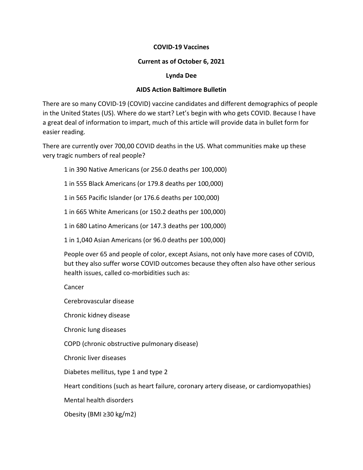# **COVID-19 Vaccines**

## **Current as of October 6, 2021**

#### **Lynda Dee**

# **AIDS Action Baltimore Bulletin**

There are so many COVID-19 (COVID) vaccine candidates and different demographics of people in the United States (US). Where do we start? Let's begin with who gets COVID. Because I have a great deal of information to impart, much of this article will provide data in bullet form for easier reading.

There are currently over 700,00 COVID deaths in the US. What communities make up these very tragic numbers of real people?

1 in 390 Native Americans (or 256.0 deaths per 100,000)

1 in 555 Black Americans (or 179.8 deaths per 100,000)

1 in 565 Pacific Islander (or 176.6 deaths per 100,000)

1 in 665 White Americans (or 150.2 deaths per 100,000)

1 in 680 Latino Americans (or 147.3 deaths per 100,000)

1 in 1,040 Asian Americans (or 96.0 deaths per 100,000)

People over 65 and people of color, except Asians, not only have more cases of COVID, but they also suffer worse COVID outcomes because they often also have other serious health issues, called co-morbidities such as:

Cancer

Cerebrovascular disease

Chronic kidney disease

Chronic lung diseases

COPD (chronic obstructive pulmonary disease)

Chronic liver diseases

Diabetes mellitus, type 1 and type 2

Heart conditions (such as heart failure, coronary artery disease, or cardiomyopathies)

Mental health disorders

Obesity (BMI ≥30 kg/m2)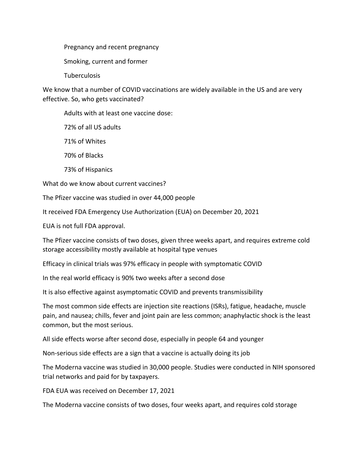Pregnancy and recent pregnancy

Smoking, current and former

Tuberculosis

We know that a number of COVID vaccinations are widely available in the US and are very effective. So, who gets vaccinated?

Adults with at least one vaccine dose:

72% of all US adults

71% of Whites

70% of Blacks

73% of Hispanics

What do we know about current vaccines?

The Pfizer vaccine was studied in over 44,000 people

It received FDA Emergency Use Authorization (EUA) on December 20, 2021

EUA is not full FDA approval.

The Pfizer vaccine consists of two doses, given three weeks apart, and requires extreme cold storage accessibility mostly available at hospital type venues

Efficacy in clinical trials was 97% efficacy in people with symptomatic COVID

In the real world efficacy is 90% two weeks after a second dose

It is also effective against asymptomatic COVID and prevents transmissibility

The most common side effects are injection site reactions (ISRs), fatigue, headache, muscle pain, and nausea; chills, fever and joint pain are less common; anaphylactic shock is the least common, but the most serious.

All side effects worse after second dose, especially in people 64 and younger

Non-serious side effects are a sign that a vaccine is actually doing its job

The Moderna vaccine was studied in 30,000 people. Studies were conducted in NIH sponsored trial networks and paid for by taxpayers.

FDA EUA was received on December 17, 2021

The Moderna vaccine consists of two doses, four weeks apart, and requires cold storage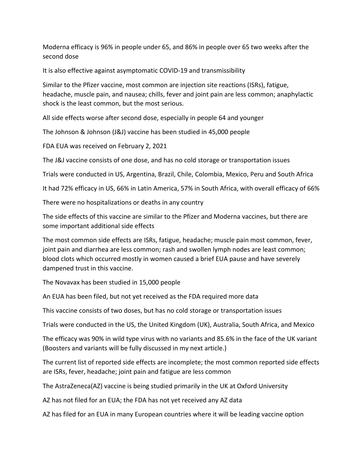Moderna efficacy is 96% in people under 65, and 86% in people over 65 two weeks after the second dose

It is also effective against asymptomatic COVID-19 and transmissibility

Similar to the Pfizer vaccine, most common are injection site reactions (ISRs), fatigue, headache, muscle pain, and nausea; chills, fever and joint pain are less common; anaphylactic shock is the least common, but the most serious.

All side effects worse after second dose, especially in people 64 and younger

The Johnson & Johnson (J&J) vaccine has been studied in 45,000 people

FDA EUA was received on February 2, 2021

The J&J vaccine consists of one dose, and has no cold storage or transportation issues

Trials were conducted in US, Argentina, Brazil, Chile, Colombia, Mexico, Peru and South Africa

It had 72% efficacy in US, 66% in Latin America, 57% in South Africa, with overall efficacy of 66%

There were no hospitalizations or deaths in any country

The side effects of this vaccine are similar to the Pfizer and Moderna vaccines, but there are some important additional side effects

The most common side effects are ISRs, fatigue, headache; muscle pain most common, fever, joint pain and diarrhea are less common; rash and swollen lymph nodes are least common; blood clots which occurred mostly in women caused a brief EUA pause and have severely dampened trust in this vaccine.

The Novavax has been studied in 15,000 people

An EUA has been filed, but not yet received as the FDA required more data

This vaccine consists of two doses, but has no cold storage or transportation issues

Trials were conducted in the US, the United Kingdom (UK), Australia, South Africa, and Mexico

The efficacy was 90% in wild type virus with no variants and 85.6% in the face of the UK variant (Boosters and variants will be fully discussed in my next article.)

The current list of reported side effects are incomplete; the most common reported side effects are ISRs, fever, headache; joint pain and fatigue are less common

The AstraZeneca(AZ) vaccine is being studied primarily in the UK at Oxford University

AZ has not filed for an EUA; the FDA has not yet received any AZ data

AZ has filed for an EUA in many European countries where it will be leading vaccine option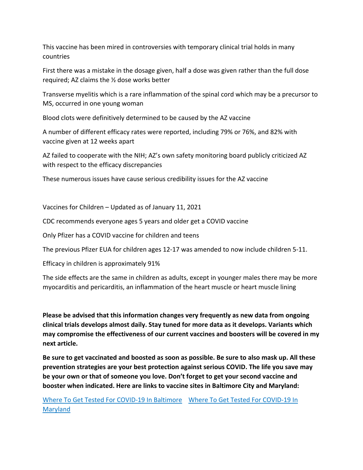This vaccine has been mired in controversies with temporary clinical trial holds in many countries

First there was a mistake in the dosage given, half a dose was given rather than the full dose required; AZ claims the ½ dose works better

Transverse myelitis which is a rare inflammation of the spinal cord which may be a precursor to MS, occurred in one young woman

Blood clots were definitively determined to be caused by the AZ vaccine

A number of different efficacy rates were reported, including 79% or 76%, and 82% with vaccine given at 12 weeks apart

AZ failed to cooperate with the NIH; AZ's own safety monitoring board publicly criticized AZ with respect to the efficacy discrepancies

These numerous issues have cause serious credibility issues for the AZ vaccine

Vaccines for Children – Updated as of January 11, 2021

CDC recommends everyone ages 5 years and older get a COVID vaccine

Only Pfizer has a COVID vaccine for children and teens

The previous Pfizer EUA for children ages 12-17 was amended to now include children 5-11.

Efficacy in children is approximately 91%

The side effects are the same in children as adults, except in younger males there may be more myocarditis and pericarditis, an inflammation of the heart muscle or heart muscle lining

**Please be advised that this information changes very frequently as new data from ongoing clinical trials develops almost daily. Stay tuned for more data as it develops. Variants which may compromise the effectiveness of our current vaccines and boosters will be covered in my next article.**

**Be sure to get vaccinated and boosted as soon as possible. Be sure to also mask up. All these prevention strategies are your best protection against serious COVID. The life you save may be your own or that of someone you love. Don't forget to get your second vaccine and booster when indicated. Here are links to vaccine sites in Baltimore City and Maryland:**

[Where To Get Tested For COVID-19 In Baltimore](https://coronavirus.baltimorecity.gov/testing/where-get-tested-covid-19-baltimore-city) [Where To Get Tested For COVID-19 In](https://coronavirus.maryland.gov/pages/vaccine)  [Maryland](https://coronavirus.maryland.gov/pages/vaccine)